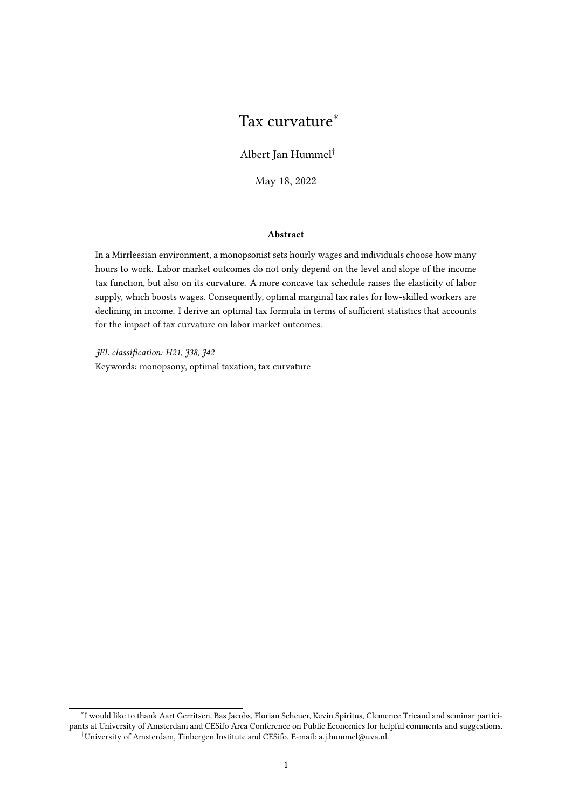# Tax curvature<sup>∗</sup>

Albert Jan Hummel†

May 18, 2022

#### Abstract

In a Mirrleesian environment, a monopsonist sets hourly wages and individuals choose how many hours to work. Labor market outcomes do not only depend on the level and slope of the income tax function, but also on its curvature. A more concave tax schedule raises the elasticity of labor supply, which boosts wages. Consequently, optimal marginal tax rates for low-skilled workers are declining in income. I derive an optimal tax formula in terms of sufficient statistics that accounts for the impact of tax curvature on labor market outcomes.

JEL classification: H21, J38, J42 Keywords: monopsony, optimal taxation, tax curvature

<sup>∗</sup> I would like to thank Aart Gerritsen, Bas Jacobs, Florian Scheuer, Kevin Spiritus, Clemence Tricaud and seminar participants at University of Amsterdam and CESifo Area Conference on Public Economics for helpful comments and suggestions. †University of Amsterdam, Tinbergen Institute and CESifo. E-mail: a.j.hummel@uva.nl.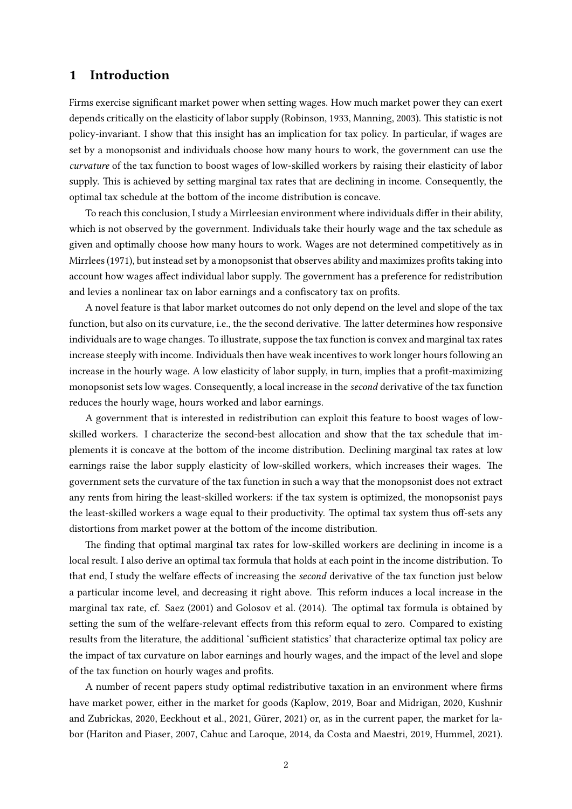#### 1 Introduction

Firms exercise significant market power when setting wages. How much market power they can exert depends critically on the elasticity of labor supply [\(Robinson,](#page-14-0) [1933,](#page-14-0) [Manning,](#page-14-1) [2003\)](#page-14-1). This statistic is not policy-invariant. I show that this insight has an implication for tax policy. In particular, if wages are set by a monopsonist and individuals choose how many hours to work, the government can use the curvature of the tax function to boost wages of low-skilled workers by raising their elasticity of labor supply. This is achieved by setting marginal tax rates that are declining in income. Consequently, the optimal tax schedule at the bottom of the income distribution is concave.

To reach this conclusion, I study a Mirrleesian environment where individuals differ in their ability, which is not observed by the government. Individuals take their hourly wage and the tax schedule as given and optimally choose how many hours to work. Wages are not determined competitively as in Mirrlees (1971), but instead set by a monopsonist that observes ability and maximizes profits taking into account how wages affect individual labor supply. The government has a preference for redistribution and levies a nonlinear tax on labor earnings and a confiscatory tax on profits.

A novel feature is that labor market outcomes do not only depend on the level and slope of the tax function, but also on its curvature, i.e., the the second derivative. The latter determines how responsive individuals are to wage changes. To illustrate, suppose the tax function is convex and marginal tax rates increase steeply with income. Individuals then have weak incentives to work longer hours following an increase in the hourly wage. A low elasticity of labor supply, in turn, implies that a profit-maximizing monopsonist sets low wages. Consequently, a local increase in the second derivative of the tax function reduces the hourly wage, hours worked and labor earnings.

A government that is interested in redistribution can exploit this feature to boost wages of lowskilled workers. I characterize the second-best allocation and show that the tax schedule that implements it is concave at the bottom of the income distribution. Declining marginal tax rates at low earnings raise the labor supply elasticity of low-skilled workers, which increases their wages. The government sets the curvature of the tax function in such a way that the monopsonist does not extract any rents from hiring the least-skilled workers: if the tax system is optimized, the monopsonist pays the least-skilled workers a wage equal to their productivity. The optimal tax system thus off-sets any distortions from market power at the bottom of the income distribution.

The finding that optimal marginal tax rates for low-skilled workers are declining in income is a local result. I also derive an optimal tax formula that holds at each point in the income distribution. To that end, I study the welfare effects of increasing the *second* derivative of the tax function just below a particular income level, and decreasing it right above. This reform induces a local increase in the marginal tax rate, cf. [Saez](#page-14-3)  $(2001)$  and [Golosov et al.](#page-13-0)  $(2014)$ . The optimal tax formula is obtained by setting the sum of the welfare-relevant effects from this reform equal to zero. Compared to existing results from the literature, the additional 'sufficient statistics' that characterize optimal tax policy are the impact of tax curvature on labor earnings and hourly wages, and the impact of the level and slope of the tax function on hourly wages and profits.

A number of recent papers study optimal redistributive taxation in an environment where firms have market power, either in the market for goods [\(Kaplow,](#page-14-4) [2019,](#page-14-4) [Boar and Midrigan,](#page-13-1) [2020,](#page-13-1) [Kushnir](#page-14-5) [and Zubrickas,](#page-14-5) [2020,](#page-14-5) [Eeckhout et al.,](#page-13-2) [2021,](#page-13-2) Gürer, [2021\)](#page-13-3) or, as in the current paper, the market for labor [\(Hariton and Piaser,](#page-13-4) [2007,](#page-13-4) [Cahuc and Laroque,](#page-13-5) [2014,](#page-13-5) [da Costa and Maestri,](#page-13-6) [2019,](#page-13-6) [Hummel,](#page-14-6) [2021\)](#page-14-6).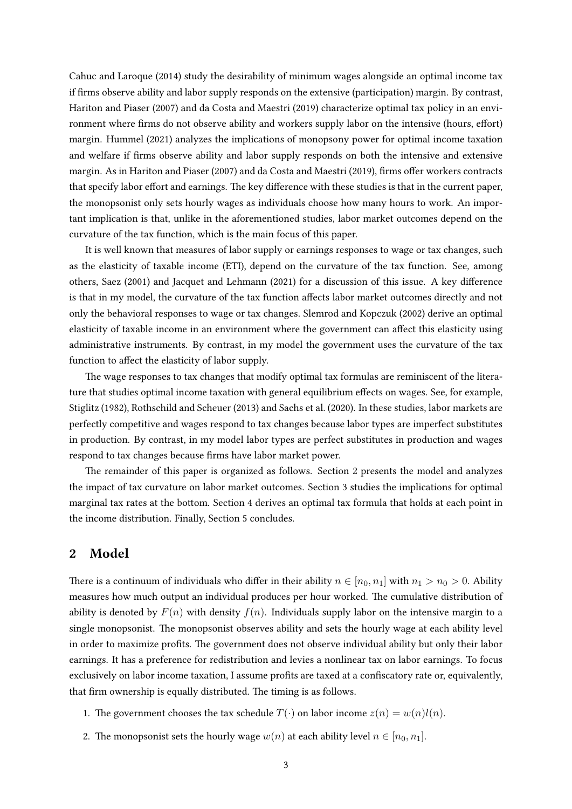[Cahuc and Laroque](#page-13-5) [\(2014\)](#page-13-5) study the desirability of minimum wages alongside an optimal income tax if firms observe ability and labor supply responds on the extensive (participation) margin. By contrast, [Hariton and Piaser](#page-13-4) [\(2007\)](#page-13-4) and [da Costa and Maestri](#page-13-6) [\(2019\)](#page-13-6) characterize optimal tax policy in an environment where firms do not observe ability and workers supply labor on the intensive (hours, effort) margin. [Hummel](#page-14-6) [\(2021\)](#page-14-6) analyzes the implications of monopsony power for optimal income taxation and welfare if firms observe ability and labor supply responds on both the intensive and extensive margin. As in [Hariton and Piaser](#page-13-4) [\(2007\)](#page-13-4) and [da Costa and Maestri](#page-13-6) [\(2019\)](#page-13-6), firms offer workers contracts that specify labor effort and earnings. The key difference with these studies is that in the current paper, the monopsonist only sets hourly wages as individuals choose how many hours to work. An important implication is that, unlike in the aforementioned studies, labor market outcomes depend on the curvature of the tax function, which is the main focus of this paper.

It is well known that measures of labor supply or earnings responses to wage or tax changes, such as the elasticity of taxable income (ETI), depend on the curvature of the tax function. See, among others, [Saez](#page-14-3) [\(2001\)](#page-14-3) and [Jacquet and Lehmann](#page-14-7) [\(2021\)](#page-14-7) for a discussion of this issue. A key difference is that in my model, the curvature of the tax function affects labor market outcomes directly and not only the behavioral responses to wage or tax changes. [Slemrod and Kopczuk](#page-14-8) [\(2002\)](#page-14-8) derive an optimal elasticity of taxable income in an environment where the government can affect this elasticity using administrative instruments. By contrast, in my model the government uses the curvature of the tax function to affect the elasticity of labor supply.

The wage responses to tax changes that modify optimal tax formulas are reminiscent of the literature that studies optimal income taxation with general equilibrium effects on wages. See, for example, [Stiglitz](#page-14-9) [\(1982\)](#page-14-9), [Rothschild and Scheuer](#page-14-10) [\(2013\)](#page-14-10) and [Sachs et al.](#page-14-11) [\(2020\)](#page-14-11). In these studies, labor markets are perfectly competitive and wages respond to tax changes because labor types are imperfect substitutes in production. By contrast, in my model labor types are perfect substitutes in production and wages respond to tax changes because firms have labor market power.

The remainder of this paper is organized as follows. Section [2](#page-2-0) presents the model and analyzes the impact of tax curvature on labor market outcomes. Section [3](#page-6-0) studies the implications for optimal marginal tax rates at the bottom. Section [4](#page-7-0) derives an optimal tax formula that holds at each point in the income distribution. Finally, Section [5](#page-12-0) concludes.

#### <span id="page-2-0"></span>2 Model

There is a continuum of individuals who differ in their ability  $n \in [n_0, n_1]$  with  $n_1 > n_0 > 0$ . Ability measures how much output an individual produces per hour worked. The cumulative distribution of ability is denoted by  $F(n)$  with density  $f(n)$ . Individuals supply labor on the intensive margin to a single monopsonist. The monopsonist observes ability and sets the hourly wage at each ability level in order to maximize profits. The government does not observe individual ability but only their labor earnings. It has a preference for redistribution and levies a nonlinear tax on labor earnings. To focus exclusively on labor income taxation, I assume profits are taxed at a confiscatory rate or, equivalently, that firm ownership is equally distributed. The timing is as follows.

- 1. The government chooses the tax schedule  $T(\cdot)$  on labor income  $z(n) = w(n)l(n)$ .
- 2. The monopsonist sets the hourly wage  $w(n)$  at each ability level  $n \in [n_0, n_1]$ .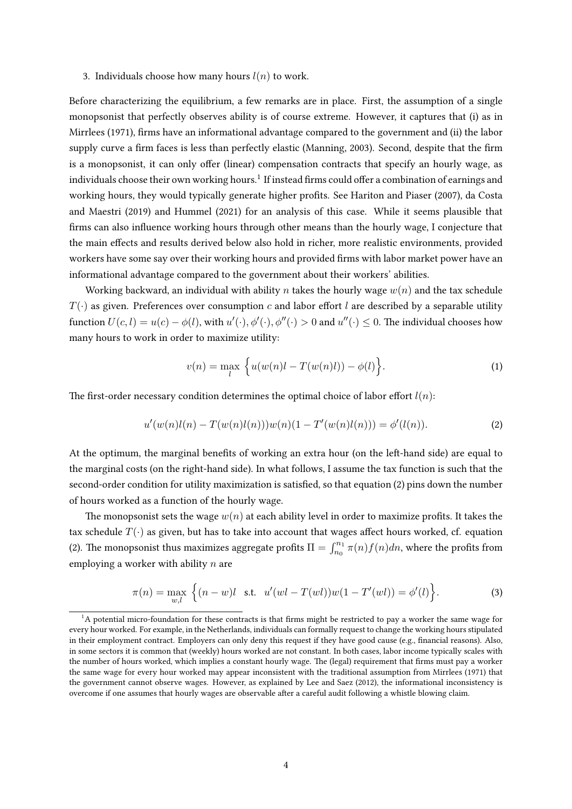3. Individuals choose how many hours  $l(n)$  to work.

Before characterizing the equilibrium, a few remarks are in place. First, the assumption of a single monopsonist that perfectly observes ability is of course extreme. However, it captures that (i) as in [Mirrlees](#page-14-2) [\(1971\)](#page-14-2), firms have an informational advantage compared to the government and (ii) the labor supply curve a firm faces is less than perfectly elastic [\(Manning,](#page-14-1) [2003\)](#page-14-1). Second, despite that the firm is a monopsonist, it can only offer (linear) compensation contracts that specify an hourly wage, as individuals choose their own working hours.<sup>[1](#page-3-0)</sup> If instead firms could offer a combination of earnings and working hours, they would typically generate higher prots. See [Hariton and Piaser](#page-13-4) [\(2007\)](#page-13-4), [da Costa](#page-13-6) [and Maestri](#page-13-6) [\(2019\)](#page-13-6) and [Hummel](#page-14-6) [\(2021\)](#page-14-6) for an analysis of this case. While it seems plausible that firms can also influence working hours through other means than the hourly wage, I conjecture that the main effects and results derived below also hold in richer, more realistic environments, provided workers have some say over their working hours and provided firms with labor market power have an informational advantage compared to the government about their workers' abilities.

Working backward, an individual with ability n takes the hourly wage  $w(n)$  and the tax schedule  $T(\cdot)$  as given. Preferences over consumption c and labor effort l are described by a separable utility function  $U(c, l) = u(c) - \phi(l)$ , with  $u'(\cdot), \phi'(\cdot), \phi''(\cdot) > 0$  and  $u''(\cdot) \le 0$ . The individual chooses how many hours to work in order to maximize utility:

<span id="page-3-3"></span><span id="page-3-1"></span>
$$
v(n) = \max_{l} \left\{ u(w(n)l - T(w(n)l)) - \phi(l) \right\}.
$$
 (1)

The first-order necessary condition determines the optimal choice of labor effort  $l(n)$ :

$$
u'(w(n)l(n) - T(w(n)l(n)))w(n)(1 - T'(w(n)l(n))) = \phi'(l(n)).
$$
\n(2)

At the optimum, the marginal benefits of working an extra hour (on the left-hand side) are equal to the marginal costs (on the right-hand side). In what follows, I assume the tax function is such that the second-order condition for utility maximization is satisfied, so that equation [\(2\)](#page-3-1) pins down the number of hours worked as a function of the hourly wage.

The monopsonist sets the wage  $w(n)$  at each ability level in order to maximize profits. It takes the tax schedule  $T(\cdot)$  as given, but has to take into account that wages affect hours worked, cf. equation [\(2\)](#page-3-1). The monopsonist thus maximizes aggregate profits  $\Pi = \int_{n_0}^{n_1} \pi(n) f(n) dn$ , where the profits from employing a worker with ability  $n$  are

<span id="page-3-2"></span>
$$
\pi(n) = \max_{w,l} \left\{ (n-w)l \text{ s.t. } u'(wl - T(wl))w(1 - T'(wl)) = \phi'(l) \right\}.
$$
 (3)

<span id="page-3-0"></span> $1A$  potential micro-foundation for these contracts is that firms might be restricted to pay a worker the same wage for every hour worked. For example, in the Netherlands, individuals can formally request to change the working hours stipulated in their employment contract. Employers can only deny this request if they have good cause (e.g., financial reasons). Also, in some sectors it is common that (weekly) hours worked are not constant. In both cases, labor income typically scales with the number of hours worked, which implies a constant hourly wage. The (legal) requirement that firms must pay a worker the same wage for every hour worked may appear inconsistent with the traditional assumption from [Mirrlees](#page-14-2) [\(1971\)](#page-14-2) that the government cannot observe wages. However, as explained by [Lee and Saez](#page-14-12) [\(2012\)](#page-14-12), the informational inconsistency is overcome if one assumes that hourly wages are observable after a careful audit following a whistle blowing claim.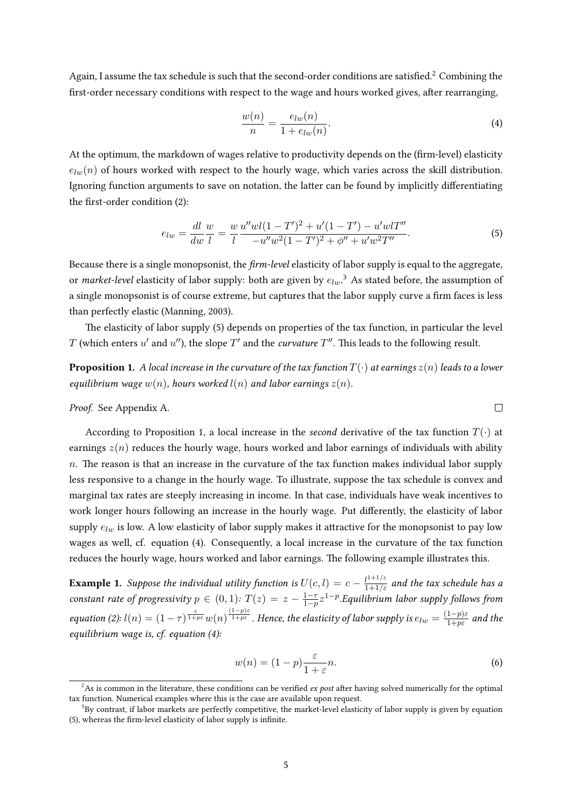Again, I assume the tax schedule is such that the second-order conditions are satisfied.<sup>[2](#page-4-0)</sup> Combining the first-order necessary conditions with respect to the wage and hours worked gives, after rearranging,

<span id="page-4-4"></span>
$$
\frac{w(n)}{n} = \frac{e_{lw}(n)}{1 + e_{lw}(n)}.\tag{4}
$$

At the optimum, the markdown of wages relative to productivity depends on the (firm-level) elasticity  $e_{lw}(n)$  of hours worked with respect to the hourly wage, which varies across the skill distribution. Ignoring function arguments to save on notation, the latter can be found by implicitly differentiating the first-order condition  $(2)$ :

$$
e_{lw} = \frac{dl}{dw} \frac{w}{l} = \frac{w}{l} \frac{u''wl(1 - T')^2 + u'(1 - T') - u'wlT''}{-u''w^2(1 - T')^2 + \phi'' + u'w^2T''}.
$$
\n<sup>(5)</sup>

Because there is a single monopsonist, the  $\lim$ -level elasticity of labor supply is equal to the aggregate, or market-level elasticity of labor supply: both are given by  $e_{lw}$ .<sup>[3](#page-4-1)</sup> As stated before, the assumption of a single monopsonist is of course extreme, but captures that the labor supply curve a firm faces is less than perfectly elastic [\(Manning,](#page-14-1) [2003\)](#page-14-1).

The elasticity of labor supply [\(5\)](#page-4-2) depends on properties of the tax function, in particular the level  $T$  (which enters  $u'$  and  $u''$ ), the slope  $T'$  and the *curvature*  $T''$ . This leads to the following result.

<span id="page-4-3"></span>**Proposition 1.** A local increase in the curvature of the tax function  $T(\cdot)$  at earnings  $z(n)$  leads to a lower equilibrium wage  $w(n)$ , hours worked  $l(n)$  and labor earnings  $z(n)$ .

Proof. See Appendix [A.](#page-15-0)

According to Proposition [1,](#page-4-3) a local increase in the second derivative of the tax function  $T(\cdot)$  at earnings  $z(n)$  reduces the hourly wage, hours worked and labor earnings of individuals with ability  $n.$  The reason is that an increase in the curvature of the tax function makes individual labor supply less responsive to a change in the hourly wage. To illustrate, suppose the tax schedule is convex and marginal tax rates are steeply increasing in income. In that case, individuals have weak incentives to work longer hours following an increase in the hourly wage. Put differently, the elasticity of labor supply  $e_{lw}$  is low. A low elasticity of labor supply makes it attractive for the monopsonist to pay low wages as well, cf. equation [\(4\)](#page-4-4). Consequently, a local increase in the curvature of the tax function reduces the hourly wage, hours worked and labor earnings. The following example illustrates this.

**Example 1.** Suppose the individual utility function is  $U(c, l) = c - \frac{l^{1+1/\varepsilon}}{1+1/\varepsilon}$  and the tax schedule has a constant rate of progressivity  $p \in (0,1)$ :  $T(z) = z - \frac{1-z}{1-z}$  $\frac{1-\tau}{1-p}z^{1-p}.$ Equilibrium labor supply follows from equation [\(2\)](#page-3-1):  $l(n) = (1 - \tau)^{\frac{\varepsilon}{1 + p\varepsilon}} w(n)^{\frac{(1 - p)\varepsilon}{1 + p\varepsilon}}$ . Hence, the elasticity of labor supply is  $e_{lw} = \frac{(1 - p)\varepsilon}{1 + p\varepsilon}$  $\frac{1-p}{1+pε}$  and the equilibrium wage is, cf. equation [\(4\)](#page-4-4):

$$
w(n) = (1 - p)\frac{\varepsilon}{1 + \varepsilon}n.
$$
\n(6)

<span id="page-4-2"></span> $\Box$ 

<span id="page-4-0"></span><sup>&</sup>lt;sup>2</sup>As is common in the literature, these conditions can be verified *ex post* after having solved numerically for the optimal tax function. Numerical examples where this is the case are available upon request.

<span id="page-4-1"></span> $3By$  contrast, if labor markets are perfectly competitive, the market-level elasticity of labor supply is given by equation  $(5)$ , whereas the firm-level elasticity of labor supply is infinite.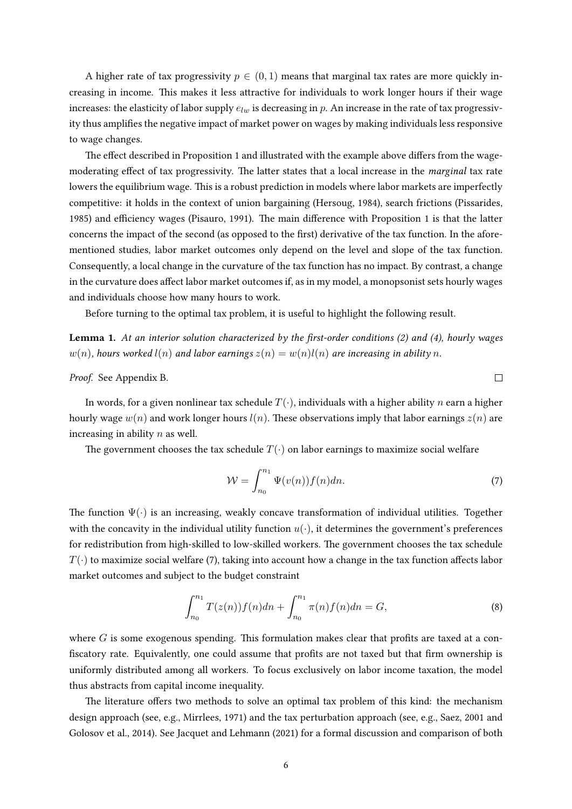A higher rate of tax progressivity  $p \in (0, 1)$  means that marginal tax rates are more quickly increasing in income. This makes it less attractive for individuals to work longer hours if their wage increases: the elasticity of labor supply  $e_{lw}$  is decreasing in p. An increase in the rate of tax progressivity thus amplifies the negative impact of market power on wages by making individuals less responsive to wage changes.

The effect described in Proposition [1](#page-4-3) and illustrated with the example above differs from the wagemoderating effect of tax progressivity. The latter states that a local increase in the marginal tax rate lowers the equilibrium wage. This is a robust prediction in models where labor markets are imperfectly competitive: it holds in the context of union bargaining [\(Hersoug,](#page-13-7) [1984\)](#page-13-7), search frictions [\(Pissarides,](#page-14-13) [1985\)](#page-14-13) and efficiency wages [\(Pisauro,](#page-14-14) [1991\)](#page-14-14). The main difference with Proposition [1](#page-4-3) is that the latter concerns the impact of the second (as opposed to the first) derivative of the tax function. In the aforementioned studies, labor market outcomes only depend on the level and slope of the tax function. Consequently, a local change in the curvature of the tax function has no impact. By contrast, a change in the curvature does affect labor market outcomes if, as in my model, a monopsonist sets hourly wages and individuals choose how many hours to work.

Before turning to the optimal tax problem, it is useful to highlight the following result.

<span id="page-5-2"></span>**Lemma 1.** At an interior solution characterized by the first-order conditions [\(2\)](#page-3-1) and [\(4\)](#page-4-4), hourly wages  $w(n)$ , hours worked  $l(n)$  and labor earnings  $z(n) = w(n)l(n)$  are increasing in ability n.

Proof. See Appendix [B.](#page-16-0)

In words, for a given nonlinear tax schedule  $T(\cdot)$ , individuals with a higher ability n earn a higher hourly wage  $w(n)$  and work longer hours  $l(n)$ . These observations imply that labor earnings  $z(n)$  are increasing in ability  $n$  as well.

The government chooses the tax schedule  $T(\cdot)$  on labor earnings to maximize social welfare

$$
\mathcal{W} = \int_{n_0}^{n_1} \Psi(v(n)) f(n) dn.
$$
 (7)

<span id="page-5-1"></span><span id="page-5-0"></span> $\Box$ 

The function  $\Psi(\cdot)$  is an increasing, weakly concave transformation of individual utilities. Together with the concavity in the individual utility function  $u(\cdot)$ , it determines the government's preferences for redistribution from high-skilled to low-skilled workers. The government chooses the tax schedule  $T(\cdot)$  to maximize social welfare [\(7\)](#page-5-0), taking into account how a change in the tax function affects labor market outcomes and subject to the budget constraint

$$
\int_{n_0}^{n_1} T(z(n))f(n)dn + \int_{n_0}^{n_1} \pi(n)f(n)dn = G,
$$
\n(8)

where  $G$  is some exogenous spending. This formulation makes clear that profits are taxed at a confiscatory rate. Equivalently, one could assume that profits are not taxed but that firm ownership is uniformly distributed among all workers. To focus exclusively on labor income taxation, the model thus abstracts from capital income inequality.

The literature offers two methods to solve an optimal tax problem of this kind: the mechanism design approach (see, e.g., [Mirrlees,](#page-14-2) [1971\)](#page-14-2) and the tax perturbation approach (see, e.g., [Saez,](#page-14-3) [2001](#page-14-3) and [Golosov et al.,](#page-13-0) [2014\)](#page-13-0). See [Jacquet and Lehmann](#page-14-7) [\(2021\)](#page-14-7) for a formal discussion and comparison of both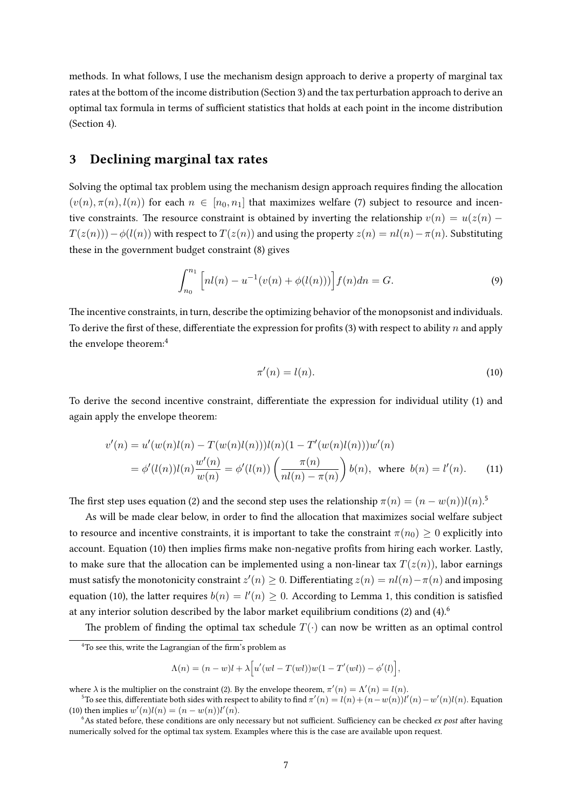methods. In what follows, I use the mechanism design approach to derive a property of marginal tax rates at the bottom of the income distribution (Section [3\)](#page-6-0) and the tax perturbation approach to derive an optimal tax formula in terms of sufficient statistics that holds at each point in the income distribution (Section [4\)](#page-7-0).

#### <span id="page-6-0"></span>3 Declining marginal tax rates

Solving the optimal tax problem using the mechanism design approach requires finding the allocation  $(v(n), \pi(n), l(n))$  for each  $n \in [n_0, n_1]$  that maximizes welfare [\(7\)](#page-5-0) subject to resource and incentive constraints. The resource constraint is obtained by inverting the relationship  $v(n) = u(z(n) T(z(n))-\phi(l(n))$  with respect to  $T(z(n))$  and using the property  $z(n) = nl(n) - \pi(n)$ . Substituting these in the government budget constraint [\(8\)](#page-5-1) gives

$$
\int_{n_0}^{n_1} \left[ nl(n) - u^{-1}(v(n) + \phi(l(n))) \right] f(n) dn = G.
$$
 (9)

The incentive constraints, in turn, describe the optimizing behavior of the monopsonist and individuals. To derive the first of these, differentiate the expression for profits [\(3\)](#page-3-2) with respect to ability n and apply the envelope theorem:[4](#page-6-1)

<span id="page-6-5"></span><span id="page-6-3"></span>
$$
\pi'(n) = l(n). \tag{10}
$$

To derive the second incentive constraint, differentiate the expression for individual utility [\(1\)](#page-3-3) and again apply the envelope theorem:

$$
v'(n) = u'(w(n)l(n) - T(w(n)l(n)))l(n)(1 - T'(w(n)l(n)))w'(n)
$$
  
=  $\phi'(l(n))l(n)\frac{w'(n)}{w(n)} = \phi'(l(n))\left(\frac{\pi(n)}{nl(n) - \pi(n)}\right)b(n), \text{ where } b(n) = l'(n).$  (11)

The first step uses equation [\(2\)](#page-3-1) and the second step uses the relationship  $\pi(n) = (n - w(n))l(n).$ <sup>[5](#page-6-2)</sup>

As will be made clear below, in order to find the allocation that maximizes social welfare subject to resource and incentive constraints, it is important to take the constraint  $\pi(n_0) \geq 0$  explicitly into account. Equation [\(10\)](#page-6-3) then implies firms make non-negative profits from hiring each worker. Lastly, to make sure that the allocation can be implemented using a non-linear tax  $T(z(n))$ , labor earnings must satisfy the monotonicity constraint  $z'(n)\geq 0.$  Differentiating  $z(n)=nl(n)-\pi(n)$  and imposing equation [\(10\)](#page-6-3), the latter requires  $b(n) = l'(n) \geq 0$ . According to Lemma [1,](#page-5-2) this condition is satisfied at any interior solution described by the labor market equilibrium conditions [\(2\)](#page-3-1) and [\(4\)](#page-4-4).<sup>[6](#page-6-4)</sup>

The problem of finding the optimal tax schedule  $T(\cdot)$  can now be written as an optimal control

$$
\Lambda(n) = (n - w)l + \lambda [u'(wl - T(wl))w(1 - T'(wl)) - \phi'(l)],
$$

<span id="page-6-1"></span> $4$ To see this, write the Lagrangian of the firm's problem as

where  $\lambda$  is the multiplier on the constraint [\(2\)](#page-3-1). By the envelope theorem,  $\pi'(n) = \Lambda'(n) = l(n)$ .

<span id="page-6-2"></span><sup>&</sup>lt;sup>5</sup>To see this, differentiate both sides with respect to ability to find  $\pi'(n) = l(n) + (n-w(n))l'(n) - w'(n)l(n)$ . Equation [\(10\)](#page-6-3) then implies  $w'(n)l(n) = (n - w(n))l'(n)$ .

<span id="page-6-4"></span> $6$ As stated before, these conditions are only necessary but not sufficient. Sufficiency can be checked ex post after having numerically solved for the optimal tax system. Examples where this is the case are available upon request.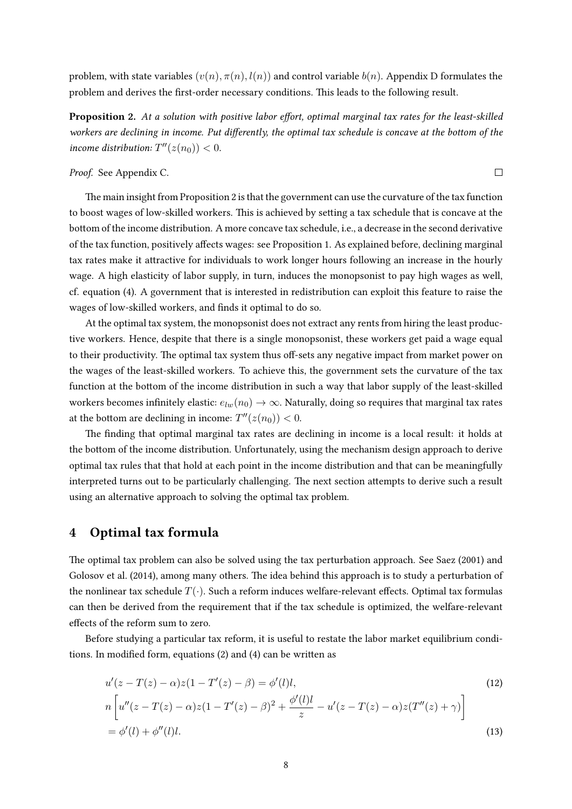problem, with state variables  $(v(n), \pi(n), l(n))$  and control variable  $b(n)$ . Appendix [D](#page-17-0) formulates the problem and derives the first-order necessary conditions. This leads to the following result.

<span id="page-7-1"></span>Proposition 2. At a solution with positive labor effort, optimal marginal tax rates for the least-skilled workers are declining in income. Put differently, the optimal tax schedule is concave at the bottom of the income distribution:  $T''(z(n_0)) < 0$ .

 $\Box$ 

#### Proof. See Appendix [C.](#page-16-1)

The main insight from Proposition [2](#page-7-1) is that the government can use the curvature of the tax function to boost wages of low-skilled workers. This is achieved by setting a tax schedule that is concave at the bottom of the income distribution. A more concave tax schedule, i.e., a decrease in the second derivative of the tax function, positively affects wages: see Proposition [1.](#page-4-3) As explained before, declining marginal tax rates make it attractive for individuals to work longer hours following an increase in the hourly wage. A high elasticity of labor supply, in turn, induces the monopsonist to pay high wages as well, cf. equation [\(4\)](#page-4-4). A government that is interested in redistribution can exploit this feature to raise the wages of low-skilled workers, and finds it optimal to do so.

At the optimal tax system, the monopsonist does not extract any rents from hiring the least productive workers. Hence, despite that there is a single monopsonist, these workers get paid a wage equal to their productivity. The optimal tax system thus off-sets any negative impact from market power on the wages of the least-skilled workers. To achieve this, the government sets the curvature of the tax function at the bottom of the income distribution in such a way that labor supply of the least-skilled workers becomes infinitely elastic:  $e_{lm}(n_0) \rightarrow \infty$ . Naturally, doing so requires that marginal tax rates at the bottom are declining in income:  $T''(z(n_0)) < 0$ .

The finding that optimal marginal tax rates are declining in income is a local result: it holds at the bottom of the income distribution. Unfortunately, using the mechanism design approach to derive optimal tax rules that that hold at each point in the income distribution and that can be meaningfully interpreted turns out to be particularly challenging. The next section attempts to derive such a result using an alternative approach to solving the optimal tax problem.

#### <span id="page-7-0"></span>4 Optimal tax formula

The optimal tax problem can also be solved using the tax perturbation approach. See [Saez](#page-14-3) [\(2001\)](#page-14-3) and [Golosov et al.](#page-13-0) [\(2014\)](#page-13-0), among many others. The idea behind this approach is to study a perturbation of the nonlinear tax schedule  $T(\cdot)$ . Such a reform induces welfare-relevant effects. Optimal tax formulas can then be derived from the requirement that if the tax schedule is optimized, the welfare-relevant effects of the reform sum to zero.

Before studying a particular tax reform, it is useful to restate the labor market equilibrium conditions. In modified form, equations  $(2)$  and  $(4)$  can be written as

<span id="page-7-3"></span><span id="page-7-2"></span>
$$
u'(z - T(z) - \alpha)z(1 - T'(z) - \beta) = \phi'(l)l,
$$
  
\n
$$
n \left[ u''(z - T(z) - \alpha)z(1 - T'(z) - \beta)^2 + \frac{\phi'(l)l}{z} - u'(z - T(z) - \alpha)z(T''(z) + \gamma) \right]
$$
  
\n
$$
= \phi'(l) + \phi''(l)l.
$$
\n(13)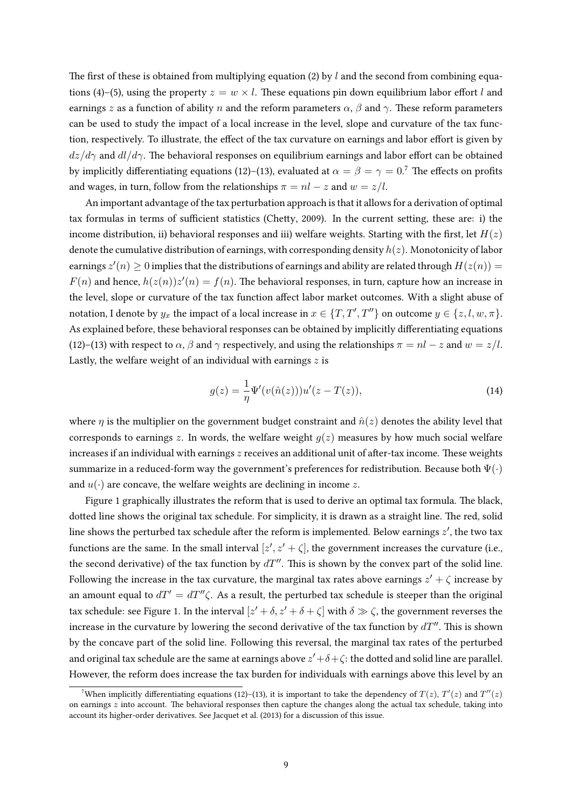The first of these is obtained from multiplying equation [\(2\)](#page-3-1) by l and the second from combining equa-tions [\(4\)](#page-4-4)–[\(5\)](#page-4-2), using the property  $z = w \times l$ . These equations pin down equilibrium labor effort l and earnings z as a function of ability n and the reform parameters  $\alpha$ ,  $\beta$  and  $\gamma$ . These reform parameters can be used to study the impact of a local increase in the level, slope and curvature of the tax function, respectively. To illustrate, the effect of the tax curvature on earnings and labor effort is given by  $dz/d\gamma$  and  $dl/d\gamma$ . The behavioral responses on equilibrium earnings and labor effort can be obtained by implicitly differentiating equations [\(12\)](#page-7-2)–[\(13\)](#page-7-3), evaluated at  $\alpha = \beta = \gamma = 0$ .<sup>[7](#page-8-0)</sup> The effects on profits and wages, in turn, follow from the relationships  $\pi = nl - z$  and  $w = z/l$ .

An important advantage of the tax perturbation approach is that it allows for a derivation of optimal tax formulas in terms of sufficient statistics (Chetty, [2009\)](#page-13-8). In the current setting, these are: i) the income distribution, ii) behavioral responses and iii) welfare weights. Starting with the first, let  $H(z)$ denote the cumulative distribution of earnings, with corresponding density  $h(z)$ . Monotonicity of labor earnings  $z'(n) \geq 0$  implies that the distributions of earnings and ability are related through  $H(z(n)) =$  $F(n)$  and hence,  $h(z(n))z'(n) = f(n)$ . The behavioral responses, in turn, capture how an increase in the level, slope or curvature of the tax function affect labor market outcomes. With a slight abuse of notation, I denote by  $y_x$  the impact of a local increase in  $x\in\{T, T', T''\}$  on outcome  $y\in\{z, l, w, \pi\}.$ As explained before, these behavioral responses can be obtained by implicitly differentiating equations [\(12\)](#page-7-2)–[\(13\)](#page-7-3) with respect to  $\alpha$ ,  $\beta$  and  $\gamma$  respectively, and using the relationships  $\pi = nl - z$  and  $w = z/l$ . Lastly, the welfare weight of an individual with earnings  $z$  is

<span id="page-8-1"></span>
$$
g(z) = \frac{1}{\eta} \Psi'(v(\hat{n}(z))) u'(z - T(z)),
$$
\n(14)

where  $\eta$  is the multiplier on the government budget constraint and  $\hat{n}(z)$  denotes the ability level that corresponds to earnings z. In words, the welfare weight  $q(z)$  measures by how much social welfare increases if an individual with earnings  $z$  receives an additional unit of after-tax income. These weights summarize in a reduced-form way the government's preferences for redistribution. Because both  $\Psi(\cdot)$ and  $u(\cdot)$  are concave, the welfare weights are declining in income z.

Figure [1](#page-9-0) graphically illustrates the reform that is used to derive an optimal tax formula. The black, dotted line shows the original tax schedule. For simplicity, it is drawn as a straight line. The red, solid line shows the perturbed tax schedule after the reform is implemented. Below earnings  $z^\prime$ , the two tax functions are the same. In the small interval  $[z', z' + \zeta]$ , the government increases the curvature (i.e., the second derivative) of the tax function by  $dT''$ . This is shown by the convex part of the solid line. Following the increase in the tax curvature, the marginal tax rates above earnings  $z' + \zeta$  increase by an amount equal to  $dT' = dT''\zeta$ . As a result, the perturbed tax schedule is steeper than the original tax schedule: see Figure [1.](#page-9-0) In the interval  $[z'+\delta,z'+\delta+\zeta]$  with  $\delta\gg\zeta$ , the government reverses the increase in the curvature by lowering the second derivative of the tax function by  $dT''$ . This is shown by the concave part of the solid line. Following this reversal, the marginal tax rates of the perturbed and original tax schedule are the same at earnings above  $z' + \delta + \zeta$ : the dotted and solid line are parallel. However, the reform does increase the tax burden for individuals with earnings above this level by an

<span id="page-8-0"></span><sup>&</sup>lt;sup>7</sup>When implicitly differentiating equations [\(12\)](#page-7-2)–[\(13\)](#page-7-3), it is important to take the dependency of  $T(z)$ ,  $T'(z)$  and  $T''(z)$ on earnings  $z$  into account. The behavioral responses then capture the changes along the actual tax schedule, taking into account its higher-order derivatives. See [Jacquet et al.](#page-14-15) [\(2013\)](#page-14-15) for a discussion of this issue.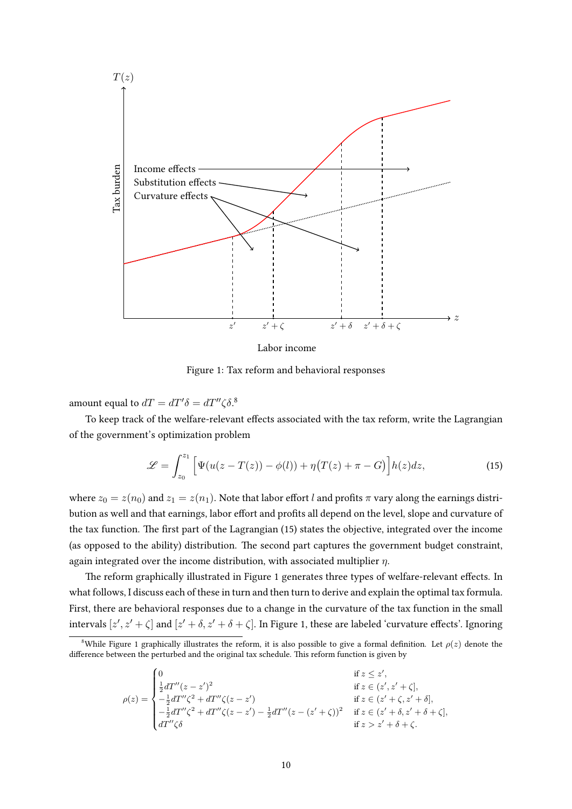<span id="page-9-0"></span>

<span id="page-9-2"></span>Labor income

Figure 1: Tax reform and behavioral responses

amount equal to  $dT = dT' \delta = dT'' \zeta \delta$ .<sup>[8](#page-9-1)</sup>

To keep track of the welfare-relevant effects associated with the tax reform, write the Lagrangian of the government's optimization problem

$$
\mathscr{L} = \int_{z_0}^{z_1} \left[ \Psi(u(z - T(z)) - \phi(l)) + \eta(T(z) + \pi - G) \right] h(z) dz,
$$
\n(15)

where  $z_0 = z(n_0)$  and  $z_1 = z(n_1)$ . Note that labor effort l and profits  $\pi$  vary along the earnings distribution as well and that earnings, labor effort and profits all depend on the level, slope and curvature of the tax function. The first part of the Lagrangian [\(15\)](#page-9-2) states the objective, integrated over the income (as opposed to the ability) distribution. The second part captures the government budget constraint, again integrated over the income distribution, with associated multiplier  $\eta$ .

The reform graphically illustrated in Figure [1](#page-9-0) generates three types of welfare-relevant effects. In what follows, I discuss each of these in turn and then turn to derive and explain the optimal tax formula. First, there are behavioral responses due to a change in the curvature of the tax function in the small intervals  $[z', z' + \zeta]$  and  $[z' + \delta, z' + \delta + \zeta]$ . In Figure [1,](#page-9-0) these are labeled 'curvature effects'. Ignoring

$$
\rho(z) = \begin{cases}\n0 & \text{if } z \leq z', \\
\frac{1}{2}dT''(z-z')^{2} & \text{if } z \in (z', z'+\zeta], \\
-\frac{1}{2}dT''\zeta^{2} + dT''\zeta(z-z') & \text{if } z \in (z'+\zeta,z'+\delta], \\
-\frac{1}{2}dT''\zeta^{2} + dT''\zeta(z-z') - \frac{1}{2}dT''(z-(z'+\zeta))^{2} & \text{if } z \in (z'+\delta,z'+\delta+\zeta], \\
dT''\zeta\delta & \text{if } z > z'+\delta+\zeta.\n\end{cases}
$$

<span id="page-9-1"></span><sup>&</sup>lt;sup>8</sup>While Figure [1](#page-9-0) graphically illustrates the reform, it is also possible to give a formal definition. Let  $\rho(z)$  denote the difference between the perturbed and the original tax schedule. This reform function is given by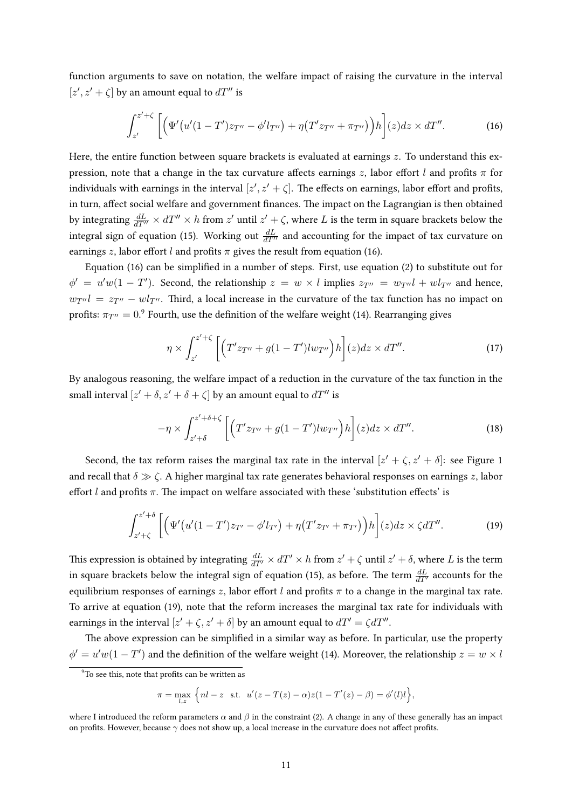function arguments to save on notation, the welfare impact of raising the curvature in the interval  $[z', z' + \zeta]$  by an amount equal to  $dT''$  is

<span id="page-10-0"></span>
$$
\int_{z'}^{z'+\zeta} \left[ \left( \Psi'(u'(1-T')z_{T''}-\phi'l_{T''}) + \eta(T'z_{T''}+\pi_{T''}) \right) h \right](z)dz \times dT''.
$$
 (16)

Here, the entire function between square brackets is evaluated at earnings  $z$ . To understand this expression, note that a change in the tax curvature affects earnings z, labor effort l and profits  $\pi$  for individuals with earnings in the interval  $[z', z' + \zeta]$ . The effects on earnings, labor effort and profits, in turn, affect social welfare and government finances. The impact on the Lagrangian is then obtained by integrating  $\frac{dL}{dT''}\times dT''\times h$  from  $z'$  until  $z'+\zeta$ , where  $L$  is the term in square brackets below the integral sign of equation [\(15\)](#page-9-2). Working out  $\frac{dL}{dT''}$  and accounting for the impact of tax curvature on earnings z, labor effort l and profits  $\pi$  gives the result from equation [\(16\)](#page-10-0).

Equation [\(16\)](#page-10-0) can be simplified in a number of steps. First, use equation [\(2\)](#page-3-1) to substitute out for  $\phi' = u'w(1-T')$ . Second, the relationship  $z = w \times l$  implies  $z_{T''} = w_{T''}l + wl_{T''}$  and hence,  $w_{T''}l = z_{T''} - w l_{T''}$ . Third, a local increase in the curvature of the tax function has no impact on profits:  $\pi_{T''}=0$ . $^9$  $^9$  Fourth, use the definition of the welfare weight [\(14\)](#page-8-1). Rearranging gives

<span id="page-10-3"></span>
$$
\eta \times \int_{z'}^{z'+\zeta} \left[ \left( T'z_{T''} + g(1-T')lw_{T''} \right) h \right] (z) dz \times dT''.
$$
 (17)

By analogous reasoning, the welfare impact of a reduction in the curvature of the tax function in the small interval  $[z' + \delta, z' + \delta + \zeta]$  by an amount equal to  $dT''$  is

<span id="page-10-4"></span><span id="page-10-2"></span>
$$
-\eta \times \int_{z'+\delta}^{z'+\delta+\zeta} \left[ \left( T'z_{T''} + g(1-T')lw_{T''} \right)h \right] (z) dz \times dT''.
$$
 (18)

Second, the tax reform raises the marginal tax rate in the interval  $[z' + \zeta, z' + \delta]$ : see Figure [1](#page-9-0) and recall that  $\delta \gg \zeta$ . A higher marginal tax rate generates behavioral responses on earnings z, labor effort l and profits  $\pi$ . The impact on welfare associated with these 'substitution effects' is

$$
\int_{z'+\zeta}^{z'+\delta} \left[ \left( \Psi'(u'(1-T')z_{T'} - \phi'l_{T'}) + \eta(T'z_{T'} + \pi_{T'}) \right) h \right](z) dz \times \zeta dT''.
$$
 (19)

This expression is obtained by integrating  $\frac{dL}{dT'}\times dT'\times h$  from  $z'+\zeta$  until  $z'+\delta,$  where  $L$  is the term in square brackets below the integral sign of equation [\(15\)](#page-9-2), as before. The term  $\frac{dL}{dT'}$  accounts for the equilibrium responses of earnings z, labor effort l and profits  $\pi$  to a change in the marginal tax rate. To arrive at equation [\(19\)](#page-10-2), note that the reform increases the marginal tax rate for individuals with earnings in the interval  $[z' + \zeta, z' + \delta]$  by an amount equal to  $dT' = \zeta dT''$ .

The above expression can be simplified in a similar way as before. In particular, use the property  $\phi' = u'w(1 - T')$  and the definition of the welfare weight [\(14\)](#page-8-1). Moreover, the relationship  $z = w \times l$ 

$$
\pi = \max_{l,z} \left\{ nl - z \text{ s.t. } u'(z - T(z) - \alpha)z(1 - T'(z) - \beta) = \phi'(l)l \right\},\
$$

<span id="page-10-1"></span> $\frac{9}{10}$  see this, note that profits can be written as

where I introduced the reform parameters  $\alpha$  and  $\beta$  in the constraint [\(2\)](#page-3-1). A change in any of these generally has an impact on profits. However, because  $\gamma$  does not show up, a local increase in the curvature does not affect profits.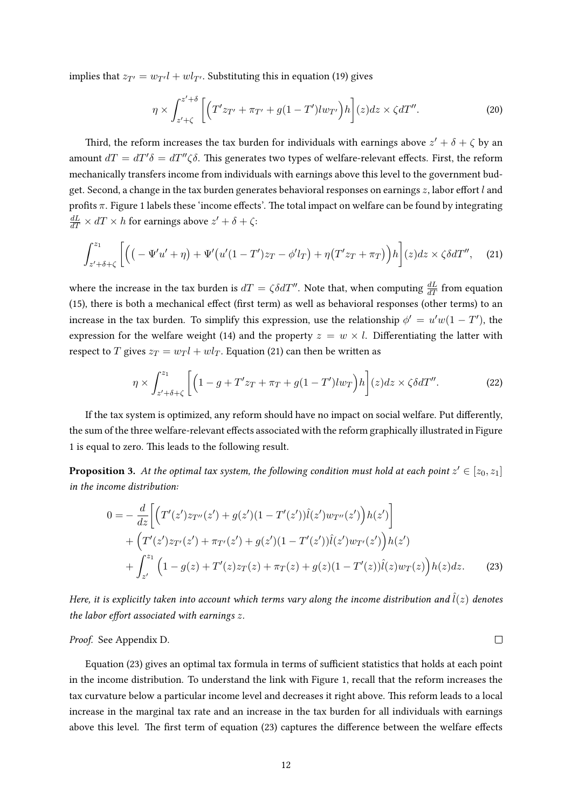implies that  $z_{T'} = w_{T'}l + wl_{T'}$ . Substituting this in equation [\(19\)](#page-10-2) gives

<span id="page-11-3"></span><span id="page-11-0"></span>
$$
\eta \times \int_{z'+\zeta}^{z'+\delta} \left[ \left( T'z_{T'} + \pi_{T'} + g(1-T')lw_{T'} \right) h \right] (z) dz \times \zeta dT''.
$$
 (20)

Third, the reform increases the tax burden for individuals with earnings above  $z' + \delta + \zeta$  by an amount  $dT = dT' \delta = dT'' \zeta \delta$ . This generates two types of welfare-relevant effects. First, the reform mechanically transfers income from individuals with earnings above this level to the government budget. Second, a change in the tax burden generates behavioral responses on earnings  $z$ , labor effort  $l$  and profits  $\pi$ . Figure [1](#page-9-0) labels these 'income effects'. The total impact on welfare can be found by integrating  $\frac{dL}{dT}\times dT \times h$  for earnings above  $z'+\delta+\zeta$ :

$$
\int_{z'+\delta+\zeta}^{z_1} \left[ \left( \left( -\Psi'u' + \eta \right) + \Psi'\left( u'(1-T')z_T - \phi'l_T \right) + \eta \left( T'z_T + \pi_T \right) \right) h \right] (z) dz \times \zeta \delta dT'', \quad (21)
$$

where the increase in the tax burden is  $dT = \zeta \delta dT''$ . Note that, when computing  $\frac{dL}{dT}$  from equation [\(15\)](#page-9-2), there is both a mechanical effect (first term) as well as behavioral responses (other terms) to an increase in the tax burden. To simplify this expression, use the relationship  $\phi' = u'w(1 - T')$ , the expression for the welfare weight [\(14\)](#page-8-1) and the property  $z = w \times l$ . Differentiating the latter with respect to T gives  $z_T = w_T l + w l_T$ . Equation [\(21\)](#page-11-0) can then be written as

$$
\eta \times \int_{z'+\delta+\zeta}^{z_1} \left[ \left( 1 - g + T'z_T + \pi_T + g(1-T')lw_T \right)h \right] (z) dz \times \zeta \delta dT''.
$$
 (22)

If the tax system is optimized, any reform should have no impact on social welfare. Put differently, the sum of the three welfare-relevant effects associated with the reform graphically illustrated in Figure [1](#page-9-0) is equal to zero. This leads to the following result.

<span id="page-11-2"></span>**Proposition 3.** At the optimal tax system, the following condition must hold at each point  $z' \in [z_0, z_1]$ in the income distribution:

$$
0 = -\frac{d}{dz} \Biggl[ \Bigl( T'(z')z_{T''}(z') + g(z')(1 - T'(z'))\hat{l}(z')w_{T''}(z') \Bigr)h(z') \Biggr] + \Bigl( T'(z')z_{T'}(z') + \pi_{T'}(z') + g(z')(1 - T'(z'))\hat{l}(z')w_{T'}(z') \Bigr)h(z') + \int_{z'}^{z_1} \Bigl( 1 - g(z) + T'(z)z_T(z) + \pi_T(z) + g(z)(1 - T'(z))\hat{l}(z)w_T(z) \Bigr)h(z)dz.
$$
 (23)

<span id="page-11-4"></span><span id="page-11-1"></span> $\Box$ 

Here, it is explicitly taken into account which terms vary along the income distribution and  $\hat{l}(z)$  denotes the labor effort associated with earnings  $z$ .

Proof. See Appendix [D.](#page-17-0)

Equation [\(23\)](#page-11-1) gives an optimal tax formula in terms of sufficient statistics that holds at each point in the income distribution. To understand the link with Figure [1,](#page-9-0) recall that the reform increases the tax curvature below a particular income level and decreases it right above. This reform leads to a local increase in the marginal tax rate and an increase in the tax burden for all individuals with earnings above this level. The first term of equation [\(23\)](#page-11-1) captures the difference between the welfare effects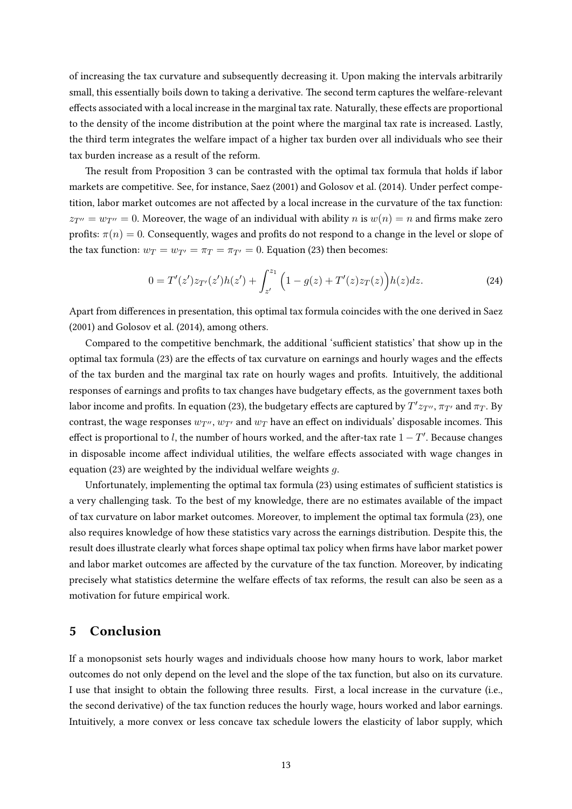of increasing the tax curvature and subsequently decreasing it. Upon making the intervals arbitrarily small, this essentially boils down to taking a derivative. The second term captures the welfare-relevant effects associated with a local increase in the marginal tax rate. Naturally, these effects are proportional to the density of the income distribution at the point where the marginal tax rate is increased. Lastly, the third term integrates the welfare impact of a higher tax burden over all individuals who see their tax burden increase as a result of the reform.

The result from Proposition [3](#page-11-2) can be contrasted with the optimal tax formula that holds if labor markets are competitive. See, for instance, [Saez](#page-14-3) [\(2001\)](#page-14-3) and [Golosov et al.](#page-13-0) [\(2014\)](#page-13-0). Under perfect competition, labor market outcomes are not affected by a local increase in the curvature of the tax function:  $z_{T} = w_{T} = 0$ . Moreover, the wage of an individual with ability n is  $w(n) = n$  and firms make zero profits:  $\pi(n) = 0$ . Consequently, wages and profits do not respond to a change in the level or slope of the tax function:  $w_T = w_{T'} = \pi_T = \pi_{T'} = 0$ . Equation [\(23\)](#page-11-1) then becomes:

$$
0 = T'(z')z_{T'}(z')h(z') + \int_{z'}^{z_1} \Big(1 - g(z) + T'(z)z_T(z)\Big)h(z)dz.
$$
 (24)

Apart from differences in presentation, this optimal tax formula coincides with the one derived in [Saez](#page-14-3) [\(2001\)](#page-14-3) and [Golosov et al.](#page-13-0) [\(2014\)](#page-13-0), among others.

Compared to the competitive benchmark, the additional 'sufficient statistics' that show up in the optimal tax formula [\(23\)](#page-11-1) are the effects of tax curvature on earnings and hourly wages and the effects of the tax burden and the marginal tax rate on hourly wages and profits. Intuitively, the additional responses of earnings and profits to tax changes have budgetary effects, as the government taxes both labor income and profits. In equation [\(23\)](#page-11-1), the budgetary effects are captured by  $T'z_{T''},\pi_{T'}$  and  $\pi_T$ . By contrast, the wage responses  $w_{T}$ ,  $w_{T}$  and  $w_T$  have an effect on individuals' disposable incomes. This effect is proportional to l, the number of hours worked, and the after-tax rate  $1-T'$ . Because changes in disposable income affect individual utilities, the welfare effects associated with wage changes in equation [\(23\)](#page-11-1) are weighted by the individual welfare weights g.

Unfortunately, implementing the optimal tax formula [\(23\)](#page-11-1) using estimates of sufficient statistics is a very challenging task. To the best of my knowledge, there are no estimates available of the impact of tax curvature on labor market outcomes. Moreover, to implement the optimal tax formula [\(23\)](#page-11-1), one also requires knowledge of how these statistics vary across the earnings distribution. Despite this, the result does illustrate clearly what forces shape optimal tax policy when rms have labor market power and labor market outcomes are affected by the curvature of the tax function. Moreover, by indicating precisely what statistics determine the welfare effects of tax reforms, the result can also be seen as a motivation for future empirical work.

#### <span id="page-12-0"></span>5 Conclusion

If a monopsonist sets hourly wages and individuals choose how many hours to work, labor market outcomes do not only depend on the level and the slope of the tax function, but also on its curvature. I use that insight to obtain the following three results. First, a local increase in the curvature (i.e., the second derivative) of the tax function reduces the hourly wage, hours worked and labor earnings. Intuitively, a more convex or less concave tax schedule lowers the elasticity of labor supply, which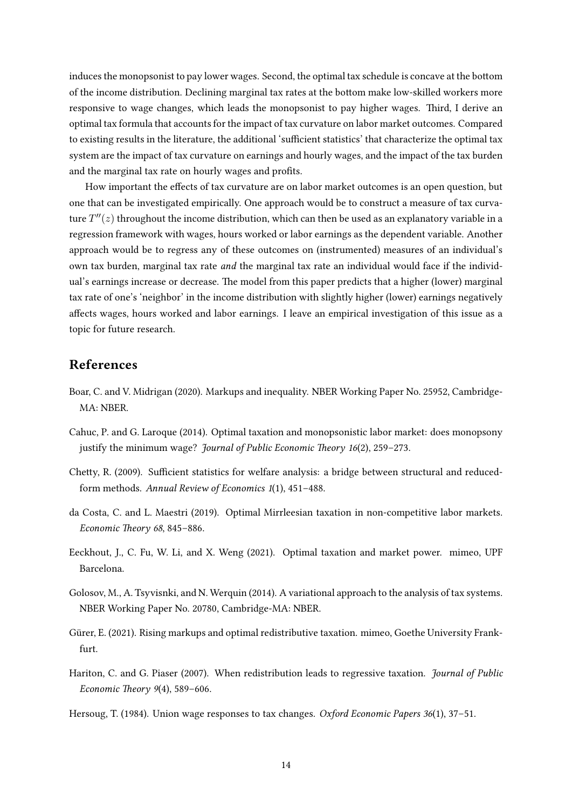induces the monopsonist to pay lower wages. Second, the optimal tax schedule is concave at the bottom of the income distribution. Declining marginal tax rates at the bottom make low-skilled workers more responsive to wage changes, which leads the monopsonist to pay higher wages. Third, I derive an optimal tax formula that accounts for the impact of tax curvature on labor market outcomes. Compared to existing results in the literature, the additional 'sufficient statistics' that characterize the optimal tax system are the impact of tax curvature on earnings and hourly wages, and the impact of the tax burden and the marginal tax rate on hourly wages and profits.

How important the effects of tax curvature are on labor market outcomes is an open question, but one that can be investigated empirically. One approach would be to construct a measure of tax curvature  $T''(z)$  throughout the income distribution, which can then be used as an explanatory variable in a regression framework with wages, hours worked or labor earnings as the dependent variable. Another approach would be to regress any of these outcomes on (instrumented) measures of an individual's own tax burden, marginal tax rate *and* the marginal tax rate an individual would face if the individual's earnings increase or decrease. The model from this paper predicts that a higher (lower) marginal tax rate of one's 'neighbor' in the income distribution with slightly higher (lower) earnings negatively affects wages, hours worked and labor earnings. I leave an empirical investigation of this issue as a topic for future research.

### References

- <span id="page-13-1"></span>Boar, C. and V. Midrigan (2020). Markups and inequality. NBER Working Paper No. 25952, Cambridge- $MA \cdot NRER$
- <span id="page-13-5"></span>Cahuc, P. and G. Laroque (2014). Optimal taxation and monopsonistic labor market: does monopsony justify the minimum wage? *Journal of Public Economic Theory 16(2), 259–273.*
- <span id="page-13-8"></span>Chetty, R. (2009). Sufficient statistics for welfare analysis: a bridge between structural and reducedform methods. Annual Review of Economics 1(1), 451–488.
- <span id="page-13-6"></span>da Costa, C. and L. Maestri (2019). Optimal Mirrleesian taxation in non-competitive labor markets. Economic Theory 68, 845–886.
- <span id="page-13-2"></span>Eeckhout, J., C. Fu, W. Li, and X. Weng (2021). Optimal taxation and market power. mimeo, UPF Barcelona.
- <span id="page-13-0"></span>Golosov, M., A. Tsyvisnki, and N. Werquin (2014). A variational approach to the analysis of tax systems. NBER Working Paper No. 20780, Cambridge-MA: NBER.
- <span id="page-13-3"></span>Gürer, E. (2021). Rising markups and optimal redistributive taxation. mimeo, Goethe University Frankfurt.
- <span id="page-13-4"></span>Hariton, C. and G. Piaser (2007). When redistribution leads to regressive taxation. Journal of Public Economic Theory 9(4), 589–606.
- <span id="page-13-7"></span>Hersoug, T. (1984). Union wage responses to tax changes. Oxford Economic Papers 36(1), 37–51.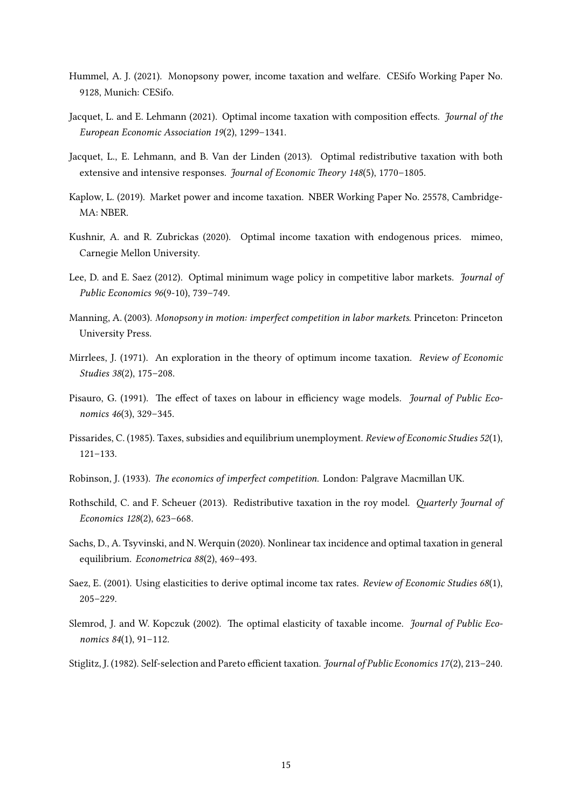- <span id="page-14-6"></span>Hummel, A. J. (2021). Monopsony power, income taxation and welfare. CESifo Working Paper No. 9128, Munich: CESifo.
- <span id="page-14-7"></span>Jacquet, L. and E. Lehmann (2021). Optimal income taxation with composition effects. Journal of the European Economic Association 19(2), 1299–1341.
- <span id="page-14-15"></span>Jacquet, L., E. Lehmann, and B. Van der Linden (2013). Optimal redistributive taxation with both extensive and intensive responses. Journal of Economic Theory 148(5), 1770-1805.
- <span id="page-14-4"></span>Kaplow, L. (2019). Market power and income taxation. NBER Working Paper No. 25578, Cambridge-MA: NBER.
- <span id="page-14-5"></span>Kushnir, A. and R. Zubrickas (2020). Optimal income taxation with endogenous prices. mimeo, Carnegie Mellon University.
- <span id="page-14-12"></span>Lee, D. and E. Saez (2012). Optimal minimum wage policy in competitive labor markets. Journal of Public Economics 96(9-10), 739–749.
- <span id="page-14-1"></span>Manning, A. (2003). Monopsony in motion: imperfect competition in labor markets. Princeton: Princeton University Press.
- <span id="page-14-2"></span>Mirrlees, J. (1971). An exploration in the theory of optimum income taxation. Review of Economic Studies 38(2), 175–208.
- <span id="page-14-14"></span>Pisauro, G. (1991). The effect of taxes on labour in efficiency wage models. *Journal of Public Eco*nomics 46(3), 329–345.
- <span id="page-14-13"></span>Pissarides, C. (1985). Taxes, subsidies and equilibrium unemployment. Review of Economic Studies 52(1), 121–133.
- <span id="page-14-0"></span>Robinson, J. (1933). The economics of imperfect competition. London: Palgrave Macmillan UK.
- <span id="page-14-10"></span>Rothschild, C. and F. Scheuer (2013). Redistributive taxation in the roy model. Quarterly Journal of Economics 128(2), 623–668.
- <span id="page-14-11"></span>Sachs, D., A. Tsyvinski, and N. Werquin (2020). Nonlinear tax incidence and optimal taxation in general equilibrium. Econometrica 88(2), 469–493.
- <span id="page-14-3"></span>Saez, E. (2001). Using elasticities to derive optimal income tax rates. Review of Economic Studies 68(1), 205–229.
- <span id="page-14-8"></span>Slemrod, J. and W. Kopczuk (2002). The optimal elasticity of taxable income. Journal of Public Economics 84(1), 91–112.
- <span id="page-14-9"></span>Stiglitz, J. (1982). Self-selection and Pareto efficient taxation. Journal of Public Economics 17(2), 213–240.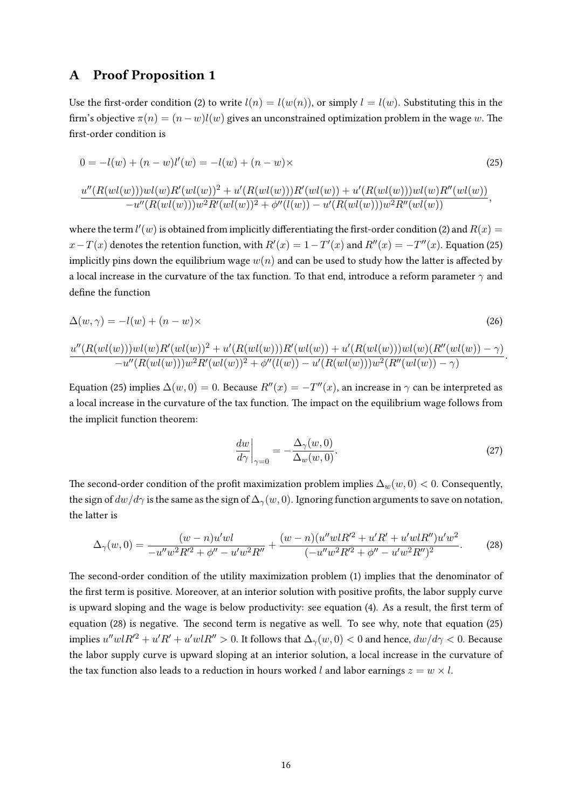#### <span id="page-15-0"></span>A Proof Proposition [1](#page-4-3)

Use the first-order condition [\(2\)](#page-3-1) to write  $l(n) = l(w(n))$ , or simply  $l = l(w)$ . Substituting this in the firm's objective  $\pi(n) = (n-w)l(w)$  gives an unconstrained optimization problem in the wage w. The first-order condition is

$$
0 = -l(w) + (n - w)l'(w) = -l(w) + (n - w) \times \tag{25}
$$
\n
$$
\frac{u''(R(wl(w)))wl(w)R'(wl(w))^2 + u'(R(wl(w)))R'(wl(w)) + u'(R(wl(w)))wl(w)R''(wl(w))}{-u''(R(wl(w)))w^2R'(wl(w))^2 + \phi''(l(w)) - u'(R(wl(w)))w^2R''(wl(w))},
$$

where the term  $l'(w)$  is obtained from implicitly differentiating the first-order condition [\(2\)](#page-3-1) and  $R(x)$  =  $x - T(x)$  denotes the retention function, with  $R'(x) = 1 - T'(x)$  and  $R''(x) = -T''(x)$ . Equation [\(25\)](#page-15-1) implicitly pins down the equilibrium wage  $w(n)$  and can be used to study how the latter is affected by a local increase in the curvature of the tax function. To that end, introduce a reform parameter  $\gamma$  and define the function

$$
\Delta(w,\gamma) = -l(w) + (n-w)\times
$$
\n(26)

$$
\frac{u''(R(wl(w)))wl(w)R'(wl(w))^2 + u'(R(wl(w)))R'(wl(w)) + u'(R(wl(w)))wl(w)(R''(wl(w)) - \gamma)}{-u''(R(wl(w)))w^2R'(wl(w))^2 + \phi''(l(w)) - u'(R(wl(w)))w^2(R''(wl(w)) - \gamma)}.
$$

Equation [\(25\)](#page-15-1) implies  $\Delta(w,0) = 0$ . Because  $R''(x) = -T''(x)$ , an increase in  $\gamma$  can be interpreted as a local increase in the curvature of the tax function. The impact on the equilibrium wage follows from the implicit function theorem:

<span id="page-15-2"></span><span id="page-15-1"></span>
$$
\left. \frac{dw}{d\gamma} \right|_{\gamma=0} = -\frac{\Delta_{\gamma}(w,0)}{\Delta_w(w,0)}.
$$
\n(27)

The second-order condition of the profit maximization problem implies  $\Delta_w(w, 0) < 0$ . Consequently, the sign of  $dw/d\gamma$  is the same as the sign of  $\Delta_{\gamma}(w, 0)$ . Ignoring function arguments to save on notation, the latter is

$$
\Delta_{\gamma}(w,0) = \frac{(w-n)u'wl}{-u''w^2R'^2 + \phi'' - u'w^2R''} + \frac{(w-n)(u''wlR'^2 + u'R' + u'wlR'')u'w^2}{(-u''w^2R'^2 + \phi'' - u'w^2R'')^2}.
$$
 (28)

The second-order condition of the utility maximization problem [\(1\)](#page-3-3) implies that the denominator of the first term is positive. Moreover, at an interior solution with positive profits, the labor supply curve is upward sloping and the wage is below productivity: see equation [\(4\)](#page-4-4). As a result, the first term of equation [\(28\)](#page-15-2) is negative. The second term is negative as well. To see why, note that equation [\(25\)](#page-15-1) implies  $u''wlR'^2 + u'R' + u'wlR'' > 0$ . It follows that  $\Delta_{\gamma}(w, 0) < 0$  and hence,  $dw/d\gamma < 0$ . Because the labor supply curve is upward sloping at an interior solution, a local increase in the curvature of the tax function also leads to a reduction in hours worked l and labor earnings  $z = w \times l$ .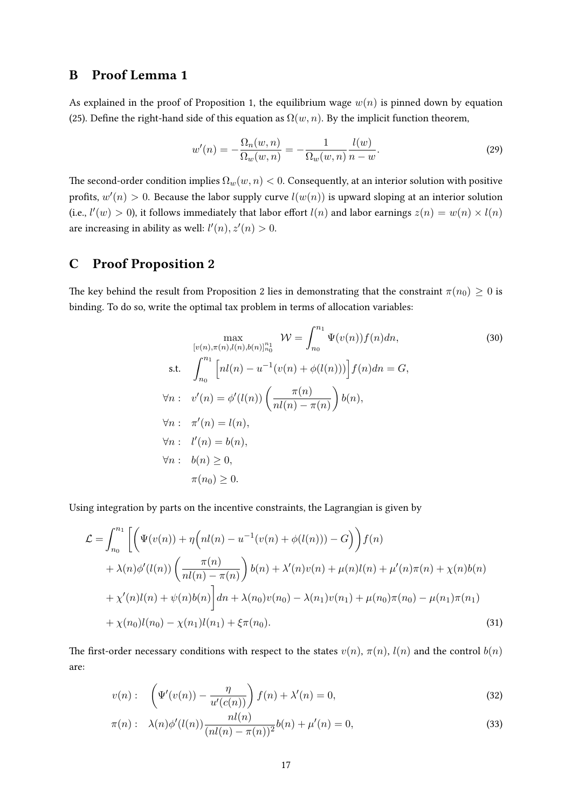## <span id="page-16-0"></span>B Proof Lemma [1](#page-5-2)

As explained in the proof of Proposition [1,](#page-4-3) the equilibrium wage  $w(n)$  is pinned down by equation [\(25\)](#page-15-1). Define the right-hand side of this equation as  $\Omega(w, n)$ . By the implicit function theorem,

$$
w'(n) = -\frac{\Omega_n(w, n)}{\Omega_w(w, n)} = -\frac{1}{\Omega_w(w, n)} \frac{l(w)}{n - w}.
$$
\n(29)

The second-order condition implies  $\Omega_w(w, n) < 0$ . Consequently, at an interior solution with positive profits,  $w'(n) > 0$ . Because the labor supply curve  $l(w(n))$  is upward sloping at an interior solution (i.e.,  $l'(w) > 0$ ), it follows immediately that labor effort  $l(n)$  and labor earnings  $z(n) = w(n) \times l(n)$ are increasing in ability as well:  $l'(n), z'(n) > 0$ .

## <span id="page-16-1"></span>C Proof Proposition [2](#page-7-1)

The key behind the result from Proposition [2](#page-7-1) lies in demonstrating that the constraint  $\pi(n_0) \geq 0$  is binding. To do so, write the optimal tax problem in terms of allocation variables:

$$
\max_{[v(n),\pi(n),l(n),b(n)]_{n_0}^{n_1}} W = \int_{n_0}^{n_1} \Psi(v(n))f(n)dn,
$$
\n
$$
\text{s.t.} \quad \int_{n_0}^{n_1} \left[ nl(n) - u^{-1}(v(n) + \phi(l(n))) \right] f(n)dn = G,
$$
\n
$$
\forall n: \quad v'(n) = \phi'(l(n)) \left( \frac{\pi(n)}{nl(n) - \pi(n)} \right) b(n),
$$
\n
$$
\forall n: \quad \pi'(n) = l(n),
$$
\n
$$
\forall n: \quad l'(n) = b(n),
$$
\n
$$
\forall n: \quad b(n) \ge 0,
$$
\n
$$
\pi(n_0) \ge 0.
$$
\n(10.10)

Using integration by parts on the incentive constraints, the Lagrangian is given by

$$
\mathcal{L} = \int_{n_0}^{n_1} \left[ \left( \Psi(v(n)) + \eta \left( n(n) - u^{-1}(v(n) + \phi(l(n))) - G \right) \right) f(n) \right. \n+ \lambda(n) \phi'(l(n)) \left( \frac{\pi(n)}{nl(n) - \pi(n)} \right) b(n) + \lambda'(n)v(n) + \mu(n)l(n) + \mu'(n)\pi(n) + \chi(n)b(n) \n+ \chi'(n)l(n) + \psi(n)b(n) \right] dn + \lambda(n_0)v(n_0) - \lambda(n_1)v(n_1) + \mu(n_0)\pi(n_0) - \mu(n_1)\pi(n_1) \n+ \chi(n_0)l(n_0) - \chi(n_1)l(n_1) + \xi\pi(n_0).
$$
\n(31)

The first-order necessary conditions with respect to the states  $v(n)$ ,  $\pi(n)$ ,  $l(n)$  and the control  $b(n)$ are:

<span id="page-16-2"></span>
$$
v(n): \quad \left(\Psi'(v(n)) - \frac{\eta}{u'(c(n))}\right) f(n) + \lambda'(n) = 0,
$$
\n(32)

<span id="page-16-3"></span>
$$
\pi(n): \lambda(n)\phi'(l(n))\frac{nl(n)}{(nl(n)-\pi(n))^2}b(n)+\mu'(n)=0,
$$
\n(33)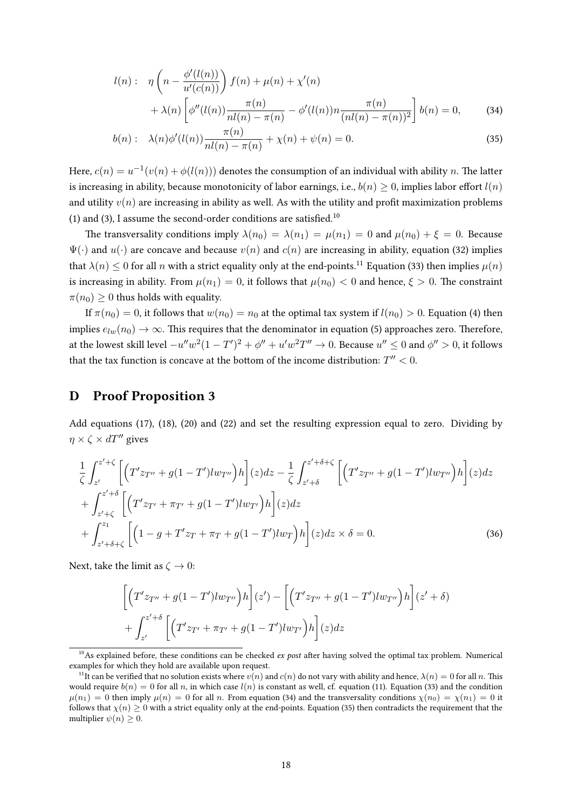<span id="page-17-3"></span>
$$
l(n): \eta \left(n - \frac{\phi'(l(n))}{u'(c(n))}\right) f(n) + \mu(n) + \chi'(n) + \lambda(n) \left[\phi''(l(n)) \frac{\pi(n)}{nl(n) - \pi(n)} - \phi'(l(n))n \frac{\pi(n)}{(nl(n) - \pi(n))^2}\right] b(n) = 0,
$$
 (34)

<span id="page-17-4"></span>
$$
b(n): \lambda(n)\phi'(l(n))\frac{\pi(n)}{nl(n)-\pi(n)} + \chi(n) + \psi(n) = 0.
$$
\n(35)

Here,  $c(n) = u^{-1}(v(n) + \phi(l(n)))$  denotes the consumption of an individual with ability n. The latter is increasing in ability, because monotonicity of labor earnings, i.e.,  $b(n) \geq 0$ , implies labor effort  $l(n)$ and utility  $v(n)$  are increasing in ability as well. As with the utility and profit maximization problems [\(1\)](#page-3-3) and [\(3\)](#page-3-2), I assume the second-order conditions are satisfied.<sup>[10](#page-17-1)</sup>

The transversality conditions imply  $\lambda(n_0) = \lambda(n_1) = \mu(n_1) = 0$  and  $\mu(n_0) + \xi = 0$ . Because  $\Psi(\cdot)$  and  $u(\cdot)$  are concave and because  $v(n)$  and  $c(n)$  are increasing in ability, equation [\(32\)](#page-16-2) implies that  $\lambda(n) \leq 0$  for all n with a strict equality only at the end-points.<sup>[11](#page-17-2)</sup> Equation [\(33\)](#page-16-3) then implies  $\mu(n)$ is increasing in ability. From  $\mu(n_1) = 0$ , it follows that  $\mu(n_0) < 0$  and hence,  $\xi > 0$ . The constraint  $\pi(n_0) > 0$  thus holds with equality.

If  $\pi(n_0) = 0$ , it follows that  $w(n_0) = n_0$  at the optimal tax system if  $l(n_0) > 0$ . Equation [\(4\)](#page-4-4) then implies  $e_{lw}(n_0) \rightarrow \infty$ . This requires that the denominator in equation [\(5\)](#page-4-2) approaches zero. Therefore, at the lowest skill level  $-u''w^2(1-T')^2+\phi''+u'w^2T''\to 0$ . Because  $u''\leq 0$  and  $\phi''>0$ , it follows that the tax function is concave at the bottom of the income distribution:  $T'' < 0$ .

### <span id="page-17-0"></span>D Proof Proposition [3](#page-11-2)

Add equations [\(17\)](#page-10-3), [\(18\)](#page-10-4), [\(20\)](#page-11-3) and [\(22\)](#page-11-4) and set the resulting expression equal to zero. Dividing by  $\eta \times \zeta \times dT''$  gives

$$
\frac{1}{\zeta} \int_{z'}^{z'+\zeta} \left[ \left( T'z_{T''} + g(1-T')lw_{T''} \right)h \right] (z) dz - \frac{1}{\zeta} \int_{z'+\delta}^{z'+\delta+\zeta} \left[ \left( T'z_{T''} + g(1-T')lw_{T''} \right)h \right] (z) dz \n+ \int_{z'+\zeta}^{z'+\delta} \left[ \left( T'z_{T'} + \pi_{T'} + g(1-T')lw_{T'} \right)h \right] (z) dz \n+ \int_{z'+\delta+\zeta}^{z_1} \left[ \left( 1 - g + T'z_{T} + \pi_{T} + g(1-T')lw_{T} \right)h \right] (z) dz \times \delta = 0.
$$
\n(36)

Next, take the limit as  $\zeta \to 0$ :

$$
\[ \Big( T' z_{T''} + g(1 - T') l w_{T''} \Big) h \] (z') - \Big[ \Big( T' z_{T''} + g(1 - T') l w_{T''} \Big) h \Big] (z' + \delta)
$$
  
+ 
$$
\int_{z'}^{z' + \delta} \Big[ \Big( T' z_{T'} + \pi_{T'} + g(1 - T') l w_{T'} \Big) h \Big] (z) dz
$$

<span id="page-17-1"></span> $10$ As explained before, these conditions can be checked *ex post* after having solved the optimal tax problem. Numerical examples for which they hold are available upon request.

<span id="page-17-2"></span><sup>&</sup>lt;sup>11</sup>It can be verified that no solution exists where  $v(n)$  and  $c(n)$  do not vary with ability and hence,  $\lambda(n) = 0$  for all n. This would require  $b(n) = 0$  for all n, in which case  $l(n)$  is constant as well, cf. equation [\(11\)](#page-6-5). Equation [\(33\)](#page-16-3) and the condition  $\mu(n_1) = 0$  then imply  $\mu(n) = 0$  for all n. From equation [\(34\)](#page-17-3) and the transversality conditions  $\chi(n_0) = \chi(n_1) = 0$  it follows that  $\chi(n) \geq 0$  with a strict equality only at the end-points. Equation [\(35\)](#page-17-4) then contradicts the requirement that the multiplier  $\psi(n) \geq 0$ .